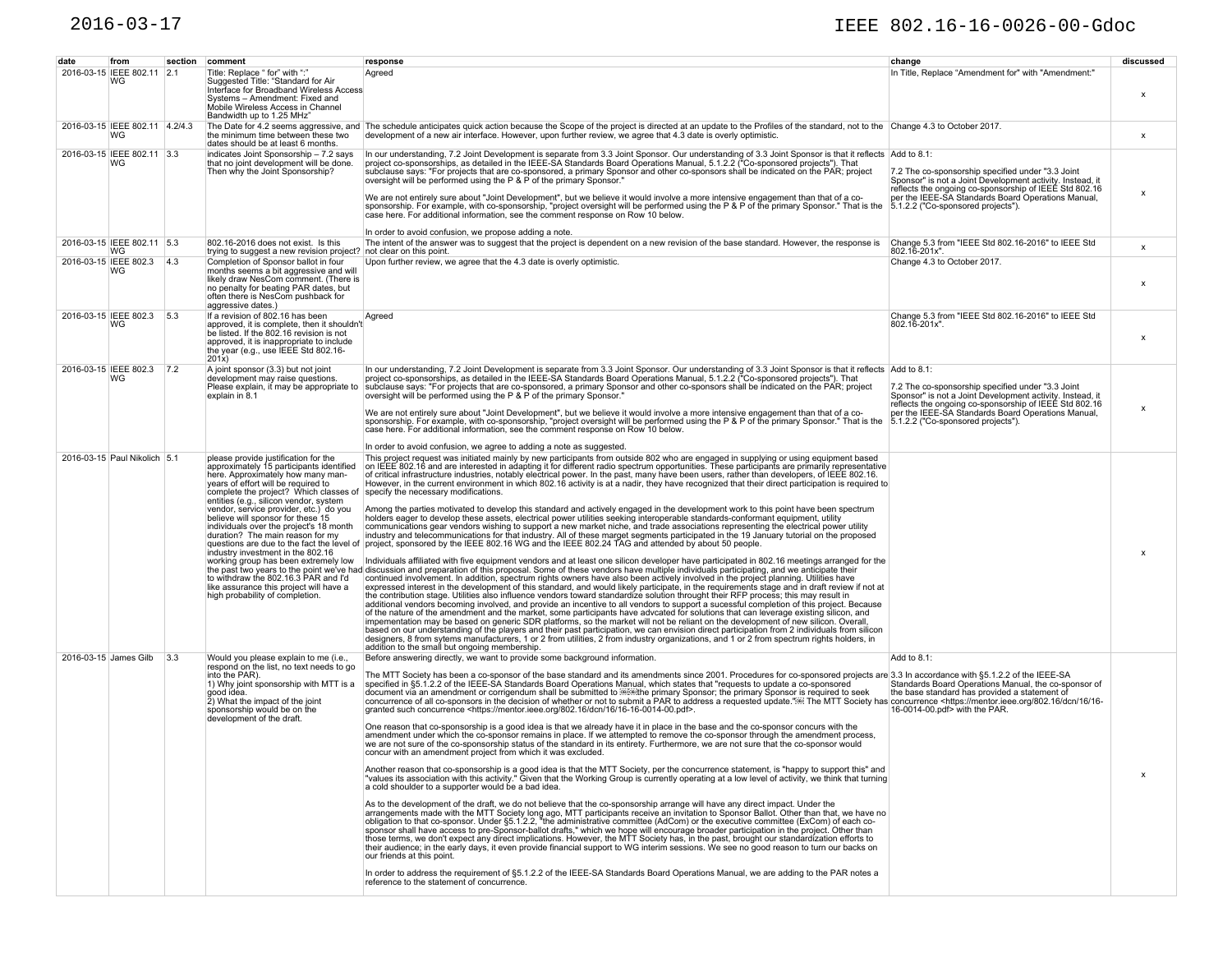## 2016-03-17 IEEE 802.16-16-0026-00-Gdoc

| date | from                                  |     | section comment                                                                                                                                                                                                                                                                                                                                                                                                                                                                                                                                                                                                                                        | response                                                                                                                                                                                                                                                                                                                                                                                                                                                                                                                                                                                                                                                                                                                                                                                                                                                                                                                                                                                                                                                                                                                                                                                                                                                                                                                                                                                                                                                                                                                                                                                                                                                                                                                                                                                                                                                                                                                                                                                                                                                                                                                                                                                                                                                                                                                                                                                                                                                                                                                                                                                                                                                                                                                                                                                                                                 | change                                                                                                                                                                                                                                                                | discussed                 |
|------|---------------------------------------|-----|--------------------------------------------------------------------------------------------------------------------------------------------------------------------------------------------------------------------------------------------------------------------------------------------------------------------------------------------------------------------------------------------------------------------------------------------------------------------------------------------------------------------------------------------------------------------------------------------------------------------------------------------------------|------------------------------------------------------------------------------------------------------------------------------------------------------------------------------------------------------------------------------------------------------------------------------------------------------------------------------------------------------------------------------------------------------------------------------------------------------------------------------------------------------------------------------------------------------------------------------------------------------------------------------------------------------------------------------------------------------------------------------------------------------------------------------------------------------------------------------------------------------------------------------------------------------------------------------------------------------------------------------------------------------------------------------------------------------------------------------------------------------------------------------------------------------------------------------------------------------------------------------------------------------------------------------------------------------------------------------------------------------------------------------------------------------------------------------------------------------------------------------------------------------------------------------------------------------------------------------------------------------------------------------------------------------------------------------------------------------------------------------------------------------------------------------------------------------------------------------------------------------------------------------------------------------------------------------------------------------------------------------------------------------------------------------------------------------------------------------------------------------------------------------------------------------------------------------------------------------------------------------------------------------------------------------------------------------------------------------------------------------------------------------------------------------------------------------------------------------------------------------------------------------------------------------------------------------------------------------------------------------------------------------------------------------------------------------------------------------------------------------------------------------------------------------------------------------------------------------------------|-----------------------------------------------------------------------------------------------------------------------------------------------------------------------------------------------------------------------------------------------------------------------|---------------------------|
|      | 2016-03-15 IEEE 802.11 2.1<br>WG      |     | Title: Replace " for" with ":"<br>Suggested Title: "Standard for Air<br>Interface for Broadband Wireless Access<br>Systems - Amendment: Fixed and<br>Mobile Wireless Access in Channel<br>Bandwidth up to 1.25 MHz"                                                                                                                                                                                                                                                                                                                                                                                                                                    | Agreed                                                                                                                                                                                                                                                                                                                                                                                                                                                                                                                                                                                                                                                                                                                                                                                                                                                                                                                                                                                                                                                                                                                                                                                                                                                                                                                                                                                                                                                                                                                                                                                                                                                                                                                                                                                                                                                                                                                                                                                                                                                                                                                                                                                                                                                                                                                                                                                                                                                                                                                                                                                                                                                                                                                                                                                                                                   | In Title, Replace "Amendment for" with "Amendment:"                                                                                                                                                                                                                   | x                         |
|      | 2016-03-15 IEEE 802.11 4.2/4.3<br> WG |     | the minimum time between these two<br>dates should be at least 6 months.                                                                                                                                                                                                                                                                                                                                                                                                                                                                                                                                                                               | The Date for 4.2 seems aggressive, and The schedule anticipates quick action because the Scope of the project is directed at an update to the Profiles of the standard, not to the Change 4.3 to October 2017.<br>development of a new air interface. However, upon further review, we agree that 4.3 date is overly optimistic.                                                                                                                                                                                                                                                                                                                                                                                                                                                                                                                                                                                                                                                                                                                                                                                                                                                                                                                                                                                                                                                                                                                                                                                                                                                                                                                                                                                                                                                                                                                                                                                                                                                                                                                                                                                                                                                                                                                                                                                                                                                                                                                                                                                                                                                                                                                                                                                                                                                                                                         |                                                                                                                                                                                                                                                                       | x                         |
|      | 2016-03-15 IEEE 802.11 3.3<br> WG     |     | indicates Joint Sponsorship - 7.2 says<br>that no joint development will be done.<br>Then why the Joint Sponsorship?                                                                                                                                                                                                                                                                                                                                                                                                                                                                                                                                   | In our understanding, 7.2 Joint Development is separate from 3.3 Joint Sponsor. Our understanding of 3.3 Joint Sponsor is that it reflects Add to 8.1:<br>project co-sponsorships, as detailed in the IEEE-SA Standards Board Operations Manual, 5.1.2.2 ("Co-sponsored projects"). That<br>subclause says: "For projects that are co-sponsored, a primary Sponsor and other co-sponsors shall be indicated on the PAR; project<br>oversight will be performed using the P & P of the primary Sponsor."<br>We are not entirely sure about "Joint Development", but we believe it would involve a more intensive engagement than that of a co-<br>sponsorship. For example, with co-sponsorship, "project oversight will be performed using t<br>case here. For additional information, see the comment response on Row 10 below.<br>In order to avoid confusion, we propose adding a note.                                                                                                                                                                                                                                                                                                                                                                                                                                                                                                                                                                                                                                                                                                                                                                                                                                                                                                                                                                                                                                                                                                                                                                                                                                                                                                                                                                                                                                                                                                                                                                                                                                                                                                                                                                                                                                                                                                                                               | 7.2 The co-sponsorship specified under "3.3 Joint"<br>Sponsor" is not a Joint Development activity. Instead, it<br>reflects the ongoing co-sponsorship of IEEE Std 802.16<br>per the IEEE-SA Standards Board Operations Manual,<br>5.1.2.2 ("Co-sponsored projects"). | x                         |
|      | 2016-03-15 IEEE 802.11 5.3<br>WG      |     | 802.16-2016 does not exist. Is this<br>trying to suggest a new revision project? not clear on this point.                                                                                                                                                                                                                                                                                                                                                                                                                                                                                                                                              | The intent of the answer was to suggest that the project is dependent on a new revision of the base standard. However, the response is                                                                                                                                                                                                                                                                                                                                                                                                                                                                                                                                                                                                                                                                                                                                                                                                                                                                                                                                                                                                                                                                                                                                                                                                                                                                                                                                                                                                                                                                                                                                                                                                                                                                                                                                                                                                                                                                                                                                                                                                                                                                                                                                                                                                                                                                                                                                                                                                                                                                                                                                                                                                                                                                                                   | Change 5.3 from "IEEE Std 802.16-2016" to IEEE Std<br>802.16-201x".                                                                                                                                                                                                   | $\boldsymbol{\mathsf{x}}$ |
|      | 2016-03-15 IEEE 802.3 4.3<br>WG       |     | Completion of Sponsor ballot in four<br>months seems a bit aggressive and will<br>likely draw NesCom comment. (There is<br>no penalty for beating PAR dates, but<br>often there is NesCom pushback for<br>aggressive dates.)                                                                                                                                                                                                                                                                                                                                                                                                                           | Upon further review, we agree that the 4.3 date is overly optimistic.                                                                                                                                                                                                                                                                                                                                                                                                                                                                                                                                                                                                                                                                                                                                                                                                                                                                                                                                                                                                                                                                                                                                                                                                                                                                                                                                                                                                                                                                                                                                                                                                                                                                                                                                                                                                                                                                                                                                                                                                                                                                                                                                                                                                                                                                                                                                                                                                                                                                                                                                                                                                                                                                                                                                                                    | Change 4.3 to October 2017.                                                                                                                                                                                                                                           | x                         |
|      | 2016-03-15 IEEE 802.3<br>WG           | 5.3 | If a revision of 802.16 has been<br>approved, it is complete, then it shouldn't<br>be listed. If the 802.16 revision is not<br>approved, it is inappropriate to include<br>the year (e.g., use IEEE Std 802.16-<br>$201x$ )                                                                                                                                                                                                                                                                                                                                                                                                                            | Agreed                                                                                                                                                                                                                                                                                                                                                                                                                                                                                                                                                                                                                                                                                                                                                                                                                                                                                                                                                                                                                                                                                                                                                                                                                                                                                                                                                                                                                                                                                                                                                                                                                                                                                                                                                                                                                                                                                                                                                                                                                                                                                                                                                                                                                                                                                                                                                                                                                                                                                                                                                                                                                                                                                                                                                                                                                                   | Change 5.3 from "IEEE Std 802.16-2016" to IEEE Std<br>802.16-201x".                                                                                                                                                                                                   | х                         |
|      | 2016-03-15 IEEE 802.3<br>WG           | 7.2 | A joint sponsor (3.3) but not joint<br>development may raise questions.<br>Please explain, it may be appropriate to<br>explain in 8.1                                                                                                                                                                                                                                                                                                                                                                                                                                                                                                                  | In our understanding, 7.2 Joint Development is separate from 3.3 Joint Sponsor. Our understanding of 3.3 Joint Sponsor is that it reflects Add to 8.1:<br>project co-sponsorships, as detailed in the IEEE-SA Standards Board Ope<br>subclause says: "For projects that are co-sponsored, a primary Sponsor and other co-sponsors shall be indicated on the PAR; project<br>oversight will be performed using the P & P of the primary Sponsor."<br>We are not entirely sure about "Joint Development", but we believe it would involve a more intensive engagement than that of a co-<br>sponsorship. For example, with co-sponsorship, "project oversight will be performed using the P & P of the primary Sponsor." That is the 5.1.2.2 ("Co-sponsored projects").<br>case here. For additional information, see the comment response on Row 10 below.<br>In order to avoid confusion, we agree to adding a note as suggested.                                                                                                                                                                                                                                                                                                                                                                                                                                                                                                                                                                                                                                                                                                                                                                                                                                                                                                                                                                                                                                                                                                                                                                                                                                                                                                                                                                                                                                                                                                                                                                                                                                                                                                                                                                                                                                                                                                        | 7.2 The co-sponsorship specified under "3.3 Joint<br>Sponsor" is not a Joint Development activity. Instead, it<br>reflects the ongoing co-sponsorship of IEEE Std 802.16<br>per the IEEE-SA Standards Board Operations Manual,                                        | x                         |
|      | 2016-03-15 Paul Nikolich 5.1          |     | please provide justification for the<br>approximately 15 participants identified<br>here. Approximately how many man-<br>vears of effort will be required to<br>complete the project? Which classes of specify the necessary modifications.<br>entities (e.g., silicon vendor, system<br>vendor, service provider, etc.) do you<br>believe will sponsor for these 15<br>individuals over the project's 18 month<br>duration? The main reason for my<br>industry investment in the 802.16<br>working group has been extremely low<br>to withdraw the 802.16.3 PAR and I'd<br>like assurance this project will have a<br>high probability of completion. | This project request was initiated mainly by new participants from outside 802 who are engaged in supplying or using equipment based<br>on IEEE 802.16 and are interested in adapting it for different radio spectrum opportunities. These participants are primarily representative<br>of critical infrastructure industries, notably electrical power. In the past, many have been users, rather than developers, of IEEE 802.16.<br>However, in the current environment in which 802.16 activity is at a nadir, they have recognized that their direct participation is required to<br>Among the parties motivated to develop this standard and actively engaged in the development work to this point have been spectrum<br>holders eager to develop these assets, electrical power utilities seeking interoperable standards-conformant equipment, utility<br>communications gear vendors wishing to support a new market niche, and trade associations representing the electrical power utility<br>industry and telecommunications for that industry. All of these marget segments participated in the 19 January tutorial on the proposed<br>questions are due to the fact the level of project, sponsored by the IEEE 802.16 WG and the IEEE 802.24 TAG and attended by about 50 people.<br>Individuals affiliated with five equipment vendors and at least one silicon developer have participated in 802.16 meetings arranged for the<br>the past two years to the point we've had discussion and preparation of this proposal. Some of these vendors have multiple individuals participating, and we anticipate their<br>continued involvement. In addition, spectrum rights owners have also been actively involved in the project planning. Utilities have<br>expressed interest in the development of this standard, and would likely participate, in the requirements stage and in draft review if not at<br>the contribution stage. Utilities also influence vendors toward standardize solution throught their RFP process; this may result in<br>additional vendors becoming involved, and provide an incentive to all vendors to support a sucessful completion of this project. Because<br>of the nature of the amendment and the market, some participants have advcated for solutions that can leverage existing silicon, and<br>impementation may be based on generic SDR platforms, so the market will not be reliant on the development of new silicon. Overall,<br>based on our understanding of the players and their past participation, we can envision direct participation from 2 individuals from silicon<br>designers, 8 from sytems manufacturers, 1 or 2 from utilities, 2 from industry organizations, and 1 or 2 from spectrum rights holders, in<br>addition to the small but ongoing membership. |                                                                                                                                                                                                                                                                       | х                         |
|      | 2016-03-15 James Gilb                 | 3.3 | Would you please explain to me (i.e.,<br>respond on the list, no text needs to go<br>into the PAR).<br>1) Why joint sponsorship with MTT is a<br>good idea.<br>2) What the impact of the joint<br>sponsorship would be on the<br>development of the draft.                                                                                                                                                                                                                                                                                                                                                                                             | Before answering directly, we want to provide some background information.<br>The MTT Society has been a co-sponsor of the base standard and its amendments since 2001. Procedures for co-sponsored projects are 3.3 In accordance with §5.1.2.2 of the IEEE-SA<br>specified in §5.1.2.2 of the IEEE-SA Standards Board Operations Manual, which states that "requests to update a co-sponsored<br>document via an amendment or corrigendum shall be submitted to @@@#the primary Sponsor; the primary Sponsor is required to seek<br>concurrence of all co-sponsors in the decision of whether or not to submit a PAR to address a requested update."(68) The MTT Society has concurrence <https: 16="" 16-<br="" 802.16="" dcn="" mentor.ieee.org="">granted such concurrence <https: 16="" 16-16-0014-00.pdf="" 802.16="" dcn="" mentor.ieee.org="">.<br/>One reason that co-sponsorship is a good idea is that we already have it in place in the base and the co-sponsor concurs with the<br/>amendment under which the co-sponsor remains in place. If we attempted to remove the co-sponsor through the amendment process,<br/>we are not sure of the co-sponsorship status of the standard in its entirety. Furthermore, we are not sure that the co-sponsor would<br/>concur with an amendment project from which it was excluded<br/>Another reason that co-sponsorship is a good idea is that the MTT Society, per the concurrence statement, is "happy to support this" and<br/>"values its association with this activity." Given that the Working Group is currently operating at a low level of activity, we think that turning<br/>a cold shoulder to a supporter would be a bad idea.<br/>As to the development of the draft, we do not believe that the co-sponsorship arrange will have any direct impact. Under the<br/>arrangements made with the MTT Society long ago, MTT participants receive an invitation to Sponsor Ballot. Other than that, we have no obligation to that co-sponsor. Under §5.1.2.2, "the administrative committee (AdCom) or<br/>sponsor shall have access to pre-Sponsor-ballot drafts," which we hope will encourage broader participation in the project. Other than<br/>those terms, we don't expect any direct implications. However, the MTT Society has, in the past, brought our standardization efforts to<br/>their audience; in the early days, it even provide financial support to WG interim sessions. We see no good reason to turn our backs on<br/>our friends at this point.<br/>In order to address the requirement of §5.1.2.2 of the IEEE-SA Standards Board Operations Manual, we are adding to the PAR notes a<br/>reference to the statement of concurrence.</https:></https:>                                                                                     | Add to 8.1:<br>Standards Board Operations Manual, the co-sponsor of<br>the base standard has provided a statement of<br>16-0014-00.pdf> with the PAR.                                                                                                                 | х                         |